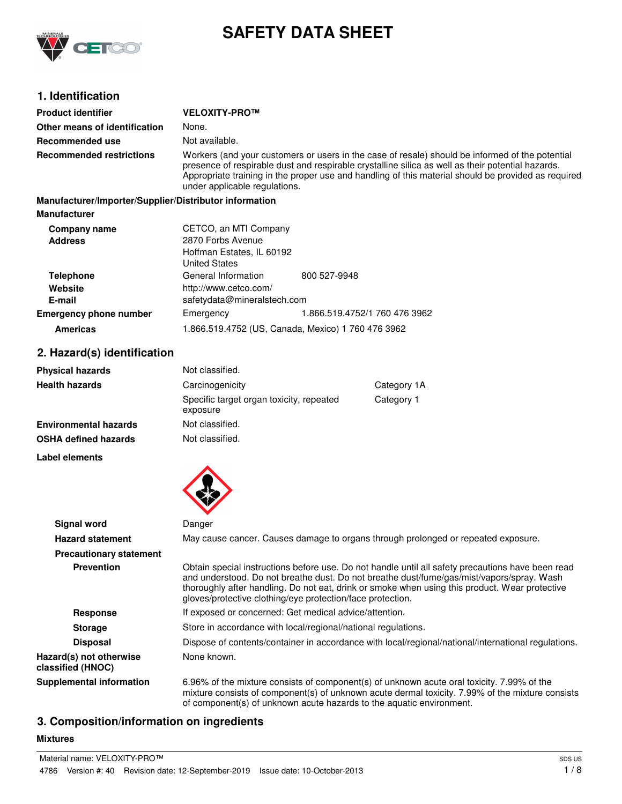

# **SAFETY DATA SHEET**

## **1. Identification**

| <b>Product identifier</b>                              | <b>VELOXITY-PRO™</b>                                                                                                                                                                                                                                                                                                                         |                               |  |  |
|--------------------------------------------------------|----------------------------------------------------------------------------------------------------------------------------------------------------------------------------------------------------------------------------------------------------------------------------------------------------------------------------------------------|-------------------------------|--|--|
| Other means of identification                          | None.                                                                                                                                                                                                                                                                                                                                        |                               |  |  |
| Recommended use                                        | Not available.                                                                                                                                                                                                                                                                                                                               |                               |  |  |
| <b>Recommended restrictions</b>                        | Workers (and your customers or users in the case of resale) should be informed of the potential<br>presence of respirable dust and respirable crystalline silica as well as their potential hazards.<br>Appropriate training in the proper use and handling of this material should be provided as required<br>under applicable regulations. |                               |  |  |
| Manufacturer/Importer/Supplier/Distributor information |                                                                                                                                                                                                                                                                                                                                              |                               |  |  |
| <b>Manufacturer</b>                                    |                                                                                                                                                                                                                                                                                                                                              |                               |  |  |
| Company name<br><b>Address</b>                         | CETCO, an MTI Company<br>2870 Forbs Avenue<br>Hoffman Estates, IL 60192<br><b>United States</b>                                                                                                                                                                                                                                              |                               |  |  |
| <b>Telephone</b><br>Website<br>E-mail                  | General Information<br>http://www.cetco.com/<br>safetydata@mineralstech.com                                                                                                                                                                                                                                                                  | 800 527-9948                  |  |  |
| <b>Emergency phone number</b>                          | Emergency                                                                                                                                                                                                                                                                                                                                    | 1.866.519.4752/1 760 476 3962 |  |  |

## **2. Hazard(s) identification**

| <b>Physical hazards</b>      | Not classified.                                      |            |
|------------------------------|------------------------------------------------------|------------|
| <b>Health hazards</b>        | Carcinogenicity<br>Category 1A                       |            |
|                              | Specific target organ toxicity, repeated<br>exposure | Category 1 |
| <b>Environmental hazards</b> | Not classified.                                      |            |
| <b>OSHA defined hazards</b>  | Not classified.                                      |            |

**Americas** 1.866.519.4752 (US, Canada, Mexico) 1 760 476 3962

**Label elements**



| <b>Signal word</b>                           | Danger                                                                                                                                                                                                                                                                                                                                                         |
|----------------------------------------------|----------------------------------------------------------------------------------------------------------------------------------------------------------------------------------------------------------------------------------------------------------------------------------------------------------------------------------------------------------------|
| <b>Hazard statement</b>                      | May cause cancer. Causes damage to organs through prolonged or repeated exposure.                                                                                                                                                                                                                                                                              |
| <b>Precautionary statement</b>               |                                                                                                                                                                                                                                                                                                                                                                |
| <b>Prevention</b>                            | Obtain special instructions before use. Do not handle until all safety precautions have been read<br>and understood. Do not breathe dust. Do not breathe dust/fume/gas/mist/vapors/spray. Wash<br>thoroughly after handling. Do not eat, drink or smoke when using this product. Wear protective<br>gloves/protective clothing/eye protection/face protection. |
| Response                                     | If exposed or concerned: Get medical advice/attention.                                                                                                                                                                                                                                                                                                         |
| <b>Storage</b>                               | Store in accordance with local/regional/national regulations.                                                                                                                                                                                                                                                                                                  |
| <b>Disposal</b>                              | Dispose of contents/container in accordance with local/regional/national/international regulations.                                                                                                                                                                                                                                                            |
| Hazard(s) not otherwise<br>classified (HNOC) | None known.                                                                                                                                                                                                                                                                                                                                                    |
| <b>Supplemental information</b>              | 6.96% of the mixture consists of component(s) of unknown acute oral toxicity. 7.99% of the<br>mixture consists of component(s) of unknown acute dermal toxicity. 7.99% of the mixture consists<br>of component(s) of unknown acute hazards to the aquatic environment.                                                                                         |

## **3. Composition/information on ingredients**

## **Mixtures**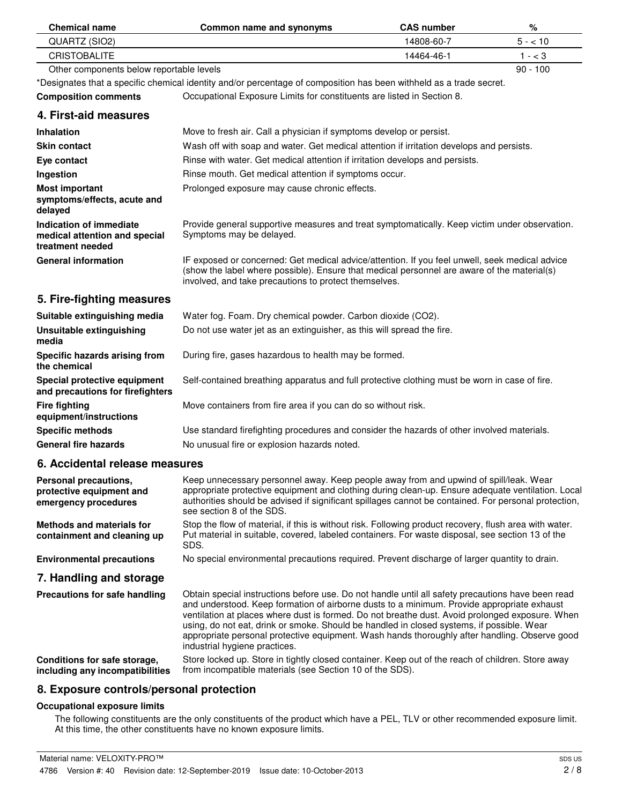| <b>Chemical name</b>                                                         | Common name and synonyms                                                                                                                                                                                                                                                                                                                                                                                                                                                                                                          | <b>CAS number</b> | %          |
|------------------------------------------------------------------------------|-----------------------------------------------------------------------------------------------------------------------------------------------------------------------------------------------------------------------------------------------------------------------------------------------------------------------------------------------------------------------------------------------------------------------------------------------------------------------------------------------------------------------------------|-------------------|------------|
| QUARTZ (SIO2)                                                                |                                                                                                                                                                                                                                                                                                                                                                                                                                                                                                                                   | 14808-60-7        | $5 - 10$   |
| <b>CRISTOBALITE</b>                                                          |                                                                                                                                                                                                                                                                                                                                                                                                                                                                                                                                   | 14464-46-1        | $1 - < 3$  |
| Other components below reportable levels                                     |                                                                                                                                                                                                                                                                                                                                                                                                                                                                                                                                   |                   | $90 - 100$ |
|                                                                              | *Designates that a specific chemical identity and/or percentage of composition has been withheld as a trade secret.                                                                                                                                                                                                                                                                                                                                                                                                               |                   |            |
| <b>Composition comments</b>                                                  | Occupational Exposure Limits for constituents are listed in Section 8.                                                                                                                                                                                                                                                                                                                                                                                                                                                            |                   |            |
| 4. First-aid measures                                                        |                                                                                                                                                                                                                                                                                                                                                                                                                                                                                                                                   |                   |            |
| <b>Inhalation</b>                                                            | Move to fresh air. Call a physician if symptoms develop or persist.                                                                                                                                                                                                                                                                                                                                                                                                                                                               |                   |            |
| <b>Skin contact</b>                                                          | Wash off with soap and water. Get medical attention if irritation develops and persists.                                                                                                                                                                                                                                                                                                                                                                                                                                          |                   |            |
| Eye contact                                                                  | Rinse with water. Get medical attention if irritation develops and persists.                                                                                                                                                                                                                                                                                                                                                                                                                                                      |                   |            |
| Ingestion                                                                    | Rinse mouth. Get medical attention if symptoms occur.                                                                                                                                                                                                                                                                                                                                                                                                                                                                             |                   |            |
| <b>Most important</b><br>symptoms/effects, acute and<br>delayed              | Prolonged exposure may cause chronic effects.                                                                                                                                                                                                                                                                                                                                                                                                                                                                                     |                   |            |
| Indication of immediate<br>medical attention and special<br>treatment needed | Provide general supportive measures and treat symptomatically. Keep victim under observation.<br>Symptoms may be delayed.                                                                                                                                                                                                                                                                                                                                                                                                         |                   |            |
| <b>General information</b>                                                   | IF exposed or concerned: Get medical advice/attention. If you feel unwell, seek medical advice<br>(show the label where possible). Ensure that medical personnel are aware of the material(s)<br>involved, and take precautions to protect themselves.                                                                                                                                                                                                                                                                            |                   |            |
| 5. Fire-fighting measures                                                    |                                                                                                                                                                                                                                                                                                                                                                                                                                                                                                                                   |                   |            |
| Suitable extinguishing media                                                 | Water fog. Foam. Dry chemical powder. Carbon dioxide (CO2).                                                                                                                                                                                                                                                                                                                                                                                                                                                                       |                   |            |
| <b>Unsuitable extinguishing</b><br>media                                     | Do not use water jet as an extinguisher, as this will spread the fire.                                                                                                                                                                                                                                                                                                                                                                                                                                                            |                   |            |
| Specific hazards arising from<br>the chemical                                | During fire, gases hazardous to health may be formed.                                                                                                                                                                                                                                                                                                                                                                                                                                                                             |                   |            |
| Special protective equipment<br>and precautions for firefighters             | Self-contained breathing apparatus and full protective clothing must be worn in case of fire.                                                                                                                                                                                                                                                                                                                                                                                                                                     |                   |            |
| <b>Fire fighting</b><br>equipment/instructions                               | Move containers from fire area if you can do so without risk.                                                                                                                                                                                                                                                                                                                                                                                                                                                                     |                   |            |
| <b>Specific methods</b>                                                      | Use standard firefighting procedures and consider the hazards of other involved materials.                                                                                                                                                                                                                                                                                                                                                                                                                                        |                   |            |
| <b>General fire hazards</b>                                                  | No unusual fire or explosion hazards noted.                                                                                                                                                                                                                                                                                                                                                                                                                                                                                       |                   |            |
| 6. Accidental release measures                                               |                                                                                                                                                                                                                                                                                                                                                                                                                                                                                                                                   |                   |            |
| Personal precautions,<br>protective equipment and<br>emergency procedures    | Keep unnecessary personnel away. Keep people away from and upwind of spill/leak. Wear<br>appropriate protective equipment and clothing during clean-up. Ensure adequate ventilation. Local<br>authorities should be advised if significant spillages cannot be contained. For personal protection,<br>see section 8 of the SDS.                                                                                                                                                                                                   |                   |            |
| <b>Methods and materials for</b><br>containment and cleaning up              | Stop the flow of material, if this is without risk. Following product recovery, flush area with water.<br>Put material in suitable, covered, labeled containers. For waste disposal, see section 13 of the<br>SDS.                                                                                                                                                                                                                                                                                                                |                   |            |
| <b>Environmental precautions</b>                                             | No special environmental precautions required. Prevent discharge of larger quantity to drain.                                                                                                                                                                                                                                                                                                                                                                                                                                     |                   |            |
| 7. Handling and storage                                                      |                                                                                                                                                                                                                                                                                                                                                                                                                                                                                                                                   |                   |            |
| <b>Precautions for safe handling</b>                                         | Obtain special instructions before use. Do not handle until all safety precautions have been read<br>and understood. Keep formation of airborne dusts to a minimum. Provide appropriate exhaust<br>ventilation at places where dust is formed. Do not breathe dust. Avoid prolonged exposure. When<br>using, do not eat, drink or smoke. Should be handled in closed systems, if possible. Wear<br>appropriate personal protective equipment. Wash hands thoroughly after handling. Observe good<br>industrial hygiene practices. |                   |            |
| Conditions for safe storage,<br>including any incompatibilities              | Store locked up. Store in tightly closed container. Keep out of the reach of children. Store away<br>from incompatible materials (see Section 10 of the SDS).                                                                                                                                                                                                                                                                                                                                                                     |                   |            |
| 8. Exposure controls/personal protection                                     |                                                                                                                                                                                                                                                                                                                                                                                                                                                                                                                                   |                   |            |

## **Occupational exposure limits**

The following constituents are the only constituents of the product which have a PEL, TLV or other recommended exposure limit. At this time, the other constituents have no known exposure limits.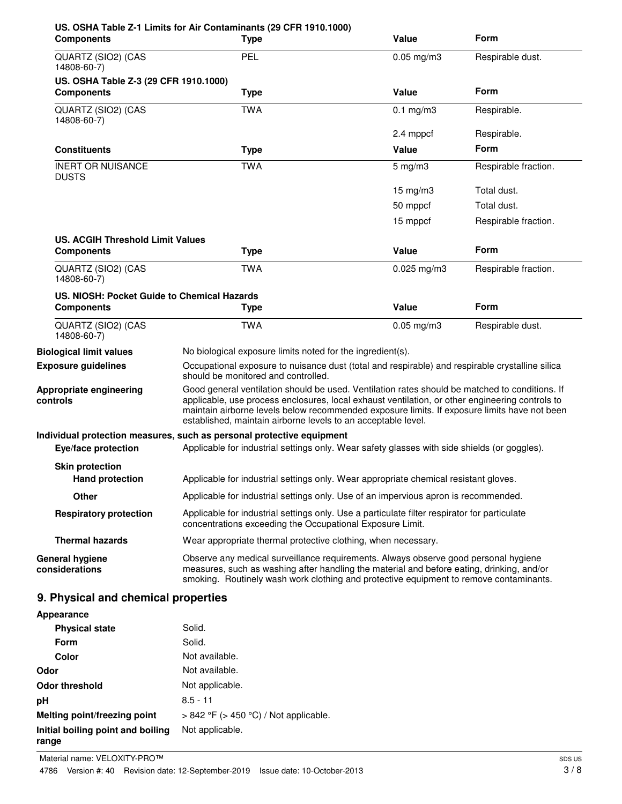| <b>Components</b>                                | US. OSHA Table Z-1 Limits for Air Contaminants (29 CFR 1910.1000)<br><b>Type</b>                                                                                                                                                                                                                                                                                   | Value           | Form                 |
|--------------------------------------------------|--------------------------------------------------------------------------------------------------------------------------------------------------------------------------------------------------------------------------------------------------------------------------------------------------------------------------------------------------------------------|-----------------|----------------------|
| QUARTZ (SIO2) (CAS<br>14808-60-7)                | <b>PEL</b>                                                                                                                                                                                                                                                                                                                                                         | $0.05$ mg/m3    | Respirable dust.     |
| US. OSHA Table Z-3 (29 CFR 1910.1000)            |                                                                                                                                                                                                                                                                                                                                                                    |                 |                      |
| <b>Components</b>                                | <b>Type</b>                                                                                                                                                                                                                                                                                                                                                        | Value           | <b>Form</b>          |
| QUARTZ (SIO2) (CAS<br>14808-60-7)                | <b>TWA</b>                                                                                                                                                                                                                                                                                                                                                         | $0.1$ mg/m3     | Respirable.          |
|                                                  |                                                                                                                                                                                                                                                                                                                                                                    | 2.4 mppcf       | Respirable.          |
| <b>Constituents</b>                              | <b>Type</b>                                                                                                                                                                                                                                                                                                                                                        | Value           | <b>Form</b>          |
| <b>INERT OR NUISANCE</b><br><b>DUSTS</b>         | <b>TWA</b>                                                                                                                                                                                                                                                                                                                                                         | $5$ mg/m $3$    | Respirable fraction. |
|                                                  |                                                                                                                                                                                                                                                                                                                                                                    | $15$ mg/m $3$   | Total dust.          |
|                                                  |                                                                                                                                                                                                                                                                                                                                                                    | 50 mppcf        | Total dust.          |
|                                                  |                                                                                                                                                                                                                                                                                                                                                                    | 15 mppcf        | Respirable fraction. |
| <b>US. ACGIH Threshold Limit Values</b>          |                                                                                                                                                                                                                                                                                                                                                                    |                 |                      |
| <b>Components</b>                                | <b>Type</b>                                                                                                                                                                                                                                                                                                                                                        | Value           | Form                 |
| QUARTZ (SIO2) (CAS<br>14808-60-7)                | TWA                                                                                                                                                                                                                                                                                                                                                                | $0.025$ mg/m3   | Respirable fraction. |
| US. NIOSH: Pocket Guide to Chemical Hazards      |                                                                                                                                                                                                                                                                                                                                                                    |                 |                      |
| <b>Components</b>                                | <b>Type</b>                                                                                                                                                                                                                                                                                                                                                        | Value           | Form                 |
| QUARTZ (SIO2) (CAS<br>14808-60-7)                | <b>TWA</b>                                                                                                                                                                                                                                                                                                                                                         | $0.05$ mg/m $3$ | Respirable dust.     |
| <b>Biological limit values</b>                   | No biological exposure limits noted for the ingredient(s).                                                                                                                                                                                                                                                                                                         |                 |                      |
| <b>Exposure guidelines</b>                       | Occupational exposure to nuisance dust (total and respirable) and respirable crystalline silica<br>should be monitored and controlled.                                                                                                                                                                                                                             |                 |                      |
| Appropriate engineering<br>controls              | Good general ventilation should be used. Ventilation rates should be matched to conditions. If<br>applicable, use process enclosures, local exhaust ventilation, or other engineering controls to<br>maintain airborne levels below recommended exposure limits. If exposure limits have not been<br>established, maintain airborne levels to an acceptable level. |                 |                      |
|                                                  | Individual protection measures, such as personal protective equipment                                                                                                                                                                                                                                                                                              |                 |                      |
| Eye/face protection                              | Applicable for industrial settings only. Wear safety glasses with side shields (or goggles).                                                                                                                                                                                                                                                                       |                 |                      |
| <b>Skin protection</b><br><b>Hand protection</b> | Applicable for industrial settings only. Wear appropriate chemical resistant gloves.                                                                                                                                                                                                                                                                               |                 |                      |
| <b>Other</b>                                     | Applicable for industrial settings only. Use of an impervious apron is recommended.                                                                                                                                                                                                                                                                                |                 |                      |
| <b>Respiratory protection</b>                    | Applicable for industrial settings only. Use a particulate filter respirator for particulate<br>concentrations exceeding the Occupational Exposure Limit.                                                                                                                                                                                                          |                 |                      |
| <b>Thermal hazards</b>                           | Wear appropriate thermal protective clothing, when necessary.                                                                                                                                                                                                                                                                                                      |                 |                      |
| <b>General hygiene</b><br>considerations         | Observe any medical surveillance requirements. Always observe good personal hygiene<br>measures, such as washing after handling the material and before eating, drinking, and/or<br>smoking. Routinely wash work clothing and protective equipment to remove contaminants.                                                                                         |                 |                      |
| 9. Physical and chemical properties              |                                                                                                                                                                                                                                                                                                                                                                    |                 |                      |
| Appearance                                       |                                                                                                                                                                                                                                                                                                                                                                    |                 |                      |
| <b>Physical state</b>                            | Solid.                                                                                                                                                                                                                                                                                                                                                             |                 |                      |
| Form                                             | Solid.                                                                                                                                                                                                                                                                                                                                                             |                 |                      |
| Color                                            | Not available.                                                                                                                                                                                                                                                                                                                                                     |                 |                      |

| Golor                             | <b>INUL dvalidule.</b>                     |
|-----------------------------------|--------------------------------------------|
| Odor                              | Not available.                             |
| Odor threshold                    | Not applicable.                            |
| рH                                | $8.5 - 11$                                 |
| Melting point/freezing point      | $> 842$ °F ( $> 450$ °C) / Not applicable. |
| Initial boiling point and boiling | Not applicable.                            |
| range                             |                                            |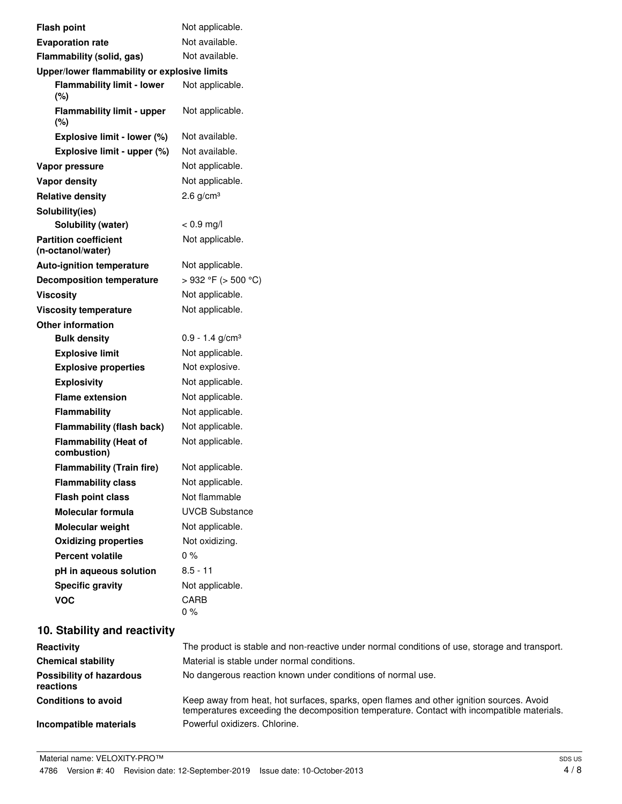| <b>Flash point</b>                                | Not applicable.               |
|---------------------------------------------------|-------------------------------|
| <b>Evaporation rate</b>                           | Not available.                |
| Flammability (solid, gas)                         | Not available.                |
| Upper/lower flammability or explosive limits      |                               |
| <b>Flammability limit - lower</b><br>(%)          | Not applicable.               |
| <b>Flammability limit - upper</b><br>$(\%)$       | Not applicable.               |
| Explosive limit - lower (%)                       | Not available.                |
| Explosive limit - upper (%)                       | Not available.                |
| Vapor pressure                                    | Not applicable.               |
| <b>Vapor density</b>                              | Not applicable.               |
| <b>Relative density</b>                           | $2.6$ g/cm <sup>3</sup>       |
| Solubility(ies)                                   |                               |
| <b>Solubility (water)</b>                         | $< 0.9$ mg/l                  |
| <b>Partition coefficient</b><br>(n-octanol/water) | Not applicable.               |
| <b>Auto-ignition temperature</b>                  | Not applicable.               |
| <b>Decomposition temperature</b>                  | $>932$ °F ( $>500$ °C)        |
| Viscosity                                         | Not applicable.               |
| <b>Viscosity temperature</b>                      | Not applicable.               |
| <b>Other information</b>                          |                               |
| <b>Bulk density</b>                               | $0.9 - 1.4$ g/cm <sup>3</sup> |
| <b>Explosive limit</b>                            | Not applicable.               |
| <b>Explosive properties</b>                       | Not explosive.                |
| <b>Explosivity</b>                                | Not applicable.               |
| <b>Flame extension</b>                            | Not applicable.               |
| <b>Flammability</b>                               | Not applicable.               |
| <b>Flammability (flash back)</b>                  | Not applicable.               |
| <b>Flammability (Heat of</b><br>combustion)       | Not applicable.               |
| <b>Flammability (Train fire)</b>                  | Not applicable                |
| <b>Flammability class</b>                         | Not applicable.               |
| <b>Flash point class</b>                          | Not flammable                 |
| Molecular formula                                 | <b>UVCB Substance</b>         |
| Molecular weight                                  | Not applicable.               |
| <b>Oxidizing properties</b>                       | Not oxidizing.                |
| <b>Percent volatile</b>                           | $0\%$                         |
| pH in aqueous solution                            | $8.5 - 11$                    |
| <b>Specific gravity</b>                           | Not applicable.               |
| <b>VOC</b>                                        | CARB                          |
|                                                   | 0%                            |
|                                                   |                               |

# **10. Stability and reactivity**

| <b>Reactivity</b>                            | The product is stable and non-reactive under normal conditions of use, storage and transport.                                                                                          |
|----------------------------------------------|----------------------------------------------------------------------------------------------------------------------------------------------------------------------------------------|
| <b>Chemical stability</b>                    | Material is stable under normal conditions.                                                                                                                                            |
| <b>Possibility of hazardous</b><br>reactions | No dangerous reaction known under conditions of normal use.                                                                                                                            |
| <b>Conditions to avoid</b>                   | Keep away from heat, hot surfaces, sparks, open flames and other ignition sources. Avoid<br>temperatures exceeding the decomposition temperature. Contact with incompatible materials. |
| Incompatible materials                       | Powerful oxidizers. Chlorine.                                                                                                                                                          |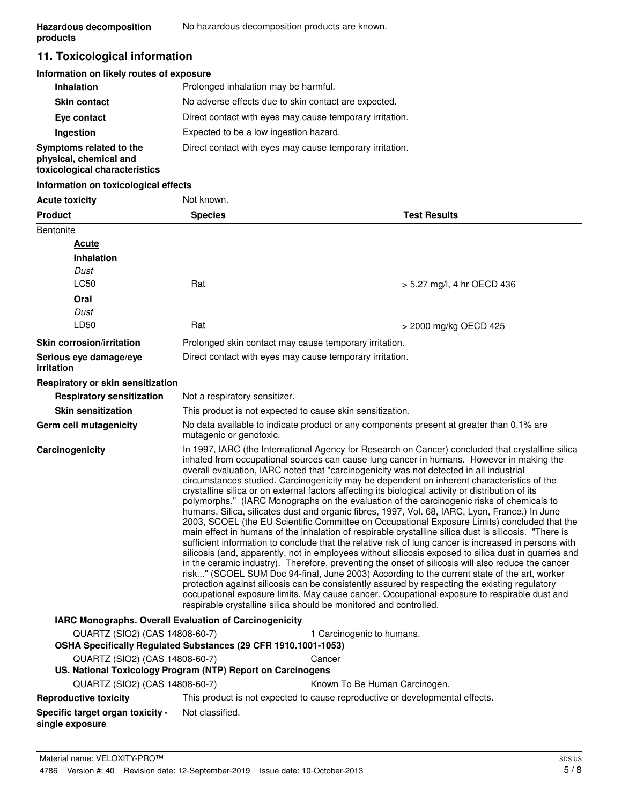## **11. Toxicological information**

## **Information on likely routes of exposure**

| <b>Inhalation</b>                                                                  | Prolonged inhalation may be harmful.                     |
|------------------------------------------------------------------------------------|----------------------------------------------------------|
| <b>Skin contact</b>                                                                | No adverse effects due to skin contact are expected.     |
| Eye contact                                                                        | Direct contact with eyes may cause temporary irritation. |
| Ingestion                                                                          | Expected to be a low ingestion hazard.                   |
| Symptoms related to the<br>physical, chemical and<br>toxicological characteristics | Direct contact with eyes may cause temporary irritation. |

## **Information on toxicological effects**

| <b>Acute toxicity</b>                                                                            | Not known.                                                                                                                                                                                                                                                                                                                                                                                                                                                                                                                                                                                                                                                                                                                                                                                                                                                                                                                                                                                                                                                                                                                                                                                                                                                                                                                                                                                                                                                                                                                                                                                         |                                                                              |  |  |
|--------------------------------------------------------------------------------------------------|----------------------------------------------------------------------------------------------------------------------------------------------------------------------------------------------------------------------------------------------------------------------------------------------------------------------------------------------------------------------------------------------------------------------------------------------------------------------------------------------------------------------------------------------------------------------------------------------------------------------------------------------------------------------------------------------------------------------------------------------------------------------------------------------------------------------------------------------------------------------------------------------------------------------------------------------------------------------------------------------------------------------------------------------------------------------------------------------------------------------------------------------------------------------------------------------------------------------------------------------------------------------------------------------------------------------------------------------------------------------------------------------------------------------------------------------------------------------------------------------------------------------------------------------------------------------------------------------------|------------------------------------------------------------------------------|--|--|
| <b>Product</b>                                                                                   | <b>Species</b>                                                                                                                                                                                                                                                                                                                                                                                                                                                                                                                                                                                                                                                                                                                                                                                                                                                                                                                                                                                                                                                                                                                                                                                                                                                                                                                                                                                                                                                                                                                                                                                     | <b>Test Results</b>                                                          |  |  |
| <b>Bentonite</b>                                                                                 |                                                                                                                                                                                                                                                                                                                                                                                                                                                                                                                                                                                                                                                                                                                                                                                                                                                                                                                                                                                                                                                                                                                                                                                                                                                                                                                                                                                                                                                                                                                                                                                                    |                                                                              |  |  |
| <b>Acute</b>                                                                                     |                                                                                                                                                                                                                                                                                                                                                                                                                                                                                                                                                                                                                                                                                                                                                                                                                                                                                                                                                                                                                                                                                                                                                                                                                                                                                                                                                                                                                                                                                                                                                                                                    |                                                                              |  |  |
| <b>Inhalation</b>                                                                                |                                                                                                                                                                                                                                                                                                                                                                                                                                                                                                                                                                                                                                                                                                                                                                                                                                                                                                                                                                                                                                                                                                                                                                                                                                                                                                                                                                                                                                                                                                                                                                                                    |                                                                              |  |  |
| Dust                                                                                             |                                                                                                                                                                                                                                                                                                                                                                                                                                                                                                                                                                                                                                                                                                                                                                                                                                                                                                                                                                                                                                                                                                                                                                                                                                                                                                                                                                                                                                                                                                                                                                                                    |                                                                              |  |  |
| LC50                                                                                             | Rat                                                                                                                                                                                                                                                                                                                                                                                                                                                                                                                                                                                                                                                                                                                                                                                                                                                                                                                                                                                                                                                                                                                                                                                                                                                                                                                                                                                                                                                                                                                                                                                                | > 5.27 mg/l, 4 hr OECD 436                                                   |  |  |
| Oral                                                                                             |                                                                                                                                                                                                                                                                                                                                                                                                                                                                                                                                                                                                                                                                                                                                                                                                                                                                                                                                                                                                                                                                                                                                                                                                                                                                                                                                                                                                                                                                                                                                                                                                    |                                                                              |  |  |
| Dust                                                                                             |                                                                                                                                                                                                                                                                                                                                                                                                                                                                                                                                                                                                                                                                                                                                                                                                                                                                                                                                                                                                                                                                                                                                                                                                                                                                                                                                                                                                                                                                                                                                                                                                    |                                                                              |  |  |
| LD50                                                                                             | Rat                                                                                                                                                                                                                                                                                                                                                                                                                                                                                                                                                                                                                                                                                                                                                                                                                                                                                                                                                                                                                                                                                                                                                                                                                                                                                                                                                                                                                                                                                                                                                                                                | > 2000 mg/kg OECD 425                                                        |  |  |
| <b>Skin corrosion/irritation</b>                                                                 |                                                                                                                                                                                                                                                                                                                                                                                                                                                                                                                                                                                                                                                                                                                                                                                                                                                                                                                                                                                                                                                                                                                                                                                                                                                                                                                                                                                                                                                                                                                                                                                                    | Prolonged skin contact may cause temporary irritation.                       |  |  |
| Serious eye damage/eye<br>irritation                                                             |                                                                                                                                                                                                                                                                                                                                                                                                                                                                                                                                                                                                                                                                                                                                                                                                                                                                                                                                                                                                                                                                                                                                                                                                                                                                                                                                                                                                                                                                                                                                                                                                    | Direct contact with eyes may cause temporary irritation.                     |  |  |
| Respiratory or skin sensitization                                                                |                                                                                                                                                                                                                                                                                                                                                                                                                                                                                                                                                                                                                                                                                                                                                                                                                                                                                                                                                                                                                                                                                                                                                                                                                                                                                                                                                                                                                                                                                                                                                                                                    |                                                                              |  |  |
| <b>Respiratory sensitization</b>                                                                 | Not a respiratory sensitizer.                                                                                                                                                                                                                                                                                                                                                                                                                                                                                                                                                                                                                                                                                                                                                                                                                                                                                                                                                                                                                                                                                                                                                                                                                                                                                                                                                                                                                                                                                                                                                                      |                                                                              |  |  |
| <b>Skin sensitization</b>                                                                        |                                                                                                                                                                                                                                                                                                                                                                                                                                                                                                                                                                                                                                                                                                                                                                                                                                                                                                                                                                                                                                                                                                                                                                                                                                                                                                                                                                                                                                                                                                                                                                                                    | This product is not expected to cause skin sensitization.                    |  |  |
| Germ cell mutagenicity                                                                           | No data available to indicate product or any components present at greater than 0.1% are<br>mutagenic or genotoxic.                                                                                                                                                                                                                                                                                                                                                                                                                                                                                                                                                                                                                                                                                                                                                                                                                                                                                                                                                                                                                                                                                                                                                                                                                                                                                                                                                                                                                                                                                |                                                                              |  |  |
| Carcinogenicity                                                                                  | In 1997, IARC (the International Agency for Research on Cancer) concluded that crystalline silica<br>inhaled from occupational sources can cause lung cancer in humans. However in making the<br>overall evaluation, IARC noted that "carcinogenicity was not detected in all industrial<br>circumstances studied. Carcinogenicity may be dependent on inherent characteristics of the<br>crystalline silica or on external factors affecting its biological activity or distribution of its<br>polymorphs." (IARC Monographs on the evaluation of the carcinogenic risks of chemicals to<br>humans, Silica, silicates dust and organic fibres, 1997, Vol. 68, IARC, Lyon, France.) In June<br>2003, SCOEL (the EU Scientific Committee on Occupational Exposure Limits) concluded that the<br>main effect in humans of the inhalation of respirable crystalline silica dust is silicosis. "There is<br>sufficient information to conclude that the relative risk of lung cancer is increased in persons with<br>silicosis (and, apparently, not in employees without silicosis exposed to silica dust in quarries and<br>in the ceramic industry). Therefore, preventing the onset of silicosis will also reduce the cancer<br>risk" (SCOEL SUM Doc 94-final, June 2003) According to the current state of the art, worker<br>protection against silicosis can be consistently assured by respecting the existing regulatory<br>occupational exposure limits. May cause cancer. Occupational exposure to respirable dust and<br>respirable crystalline silica should be monitored and controlled. |                                                                              |  |  |
| <b>IARC Monographs. Overall Evaluation of Carcinogenicity</b>                                    |                                                                                                                                                                                                                                                                                                                                                                                                                                                                                                                                                                                                                                                                                                                                                                                                                                                                                                                                                                                                                                                                                                                                                                                                                                                                                                                                                                                                                                                                                                                                                                                                    |                                                                              |  |  |
| QUARTZ (SIO2) (CAS 14808-60-7)<br>OSHA Specifically Regulated Substances (29 CFR 1910.1001-1053) |                                                                                                                                                                                                                                                                                                                                                                                                                                                                                                                                                                                                                                                                                                                                                                                                                                                                                                                                                                                                                                                                                                                                                                                                                                                                                                                                                                                                                                                                                                                                                                                                    | 1 Carcinogenic to humans.                                                    |  |  |
| QUARTZ (SIO2) (CAS 14808-60-7)                                                                   |                                                                                                                                                                                                                                                                                                                                                                                                                                                                                                                                                                                                                                                                                                                                                                                                                                                                                                                                                                                                                                                                                                                                                                                                                                                                                                                                                                                                                                                                                                                                                                                                    | Cancer                                                                       |  |  |
| US. National Toxicology Program (NTP) Report on Carcinogens                                      |                                                                                                                                                                                                                                                                                                                                                                                                                                                                                                                                                                                                                                                                                                                                                                                                                                                                                                                                                                                                                                                                                                                                                                                                                                                                                                                                                                                                                                                                                                                                                                                                    |                                                                              |  |  |
| QUARTZ (SIO2) (CAS 14808-60-7)                                                                   |                                                                                                                                                                                                                                                                                                                                                                                                                                                                                                                                                                                                                                                                                                                                                                                                                                                                                                                                                                                                                                                                                                                                                                                                                                                                                                                                                                                                                                                                                                                                                                                                    | Known To Be Human Carcinogen.                                                |  |  |
| <b>Reproductive toxicity</b>                                                                     |                                                                                                                                                                                                                                                                                                                                                                                                                                                                                                                                                                                                                                                                                                                                                                                                                                                                                                                                                                                                                                                                                                                                                                                                                                                                                                                                                                                                                                                                                                                                                                                                    | This product is not expected to cause reproductive or developmental effects. |  |  |
| Specific target organ toxicity -<br>single exposure                                              | Not classified.                                                                                                                                                                                                                                                                                                                                                                                                                                                                                                                                                                                                                                                                                                                                                                                                                                                                                                                                                                                                                                                                                                                                                                                                                                                                                                                                                                                                                                                                                                                                                                                    |                                                                              |  |  |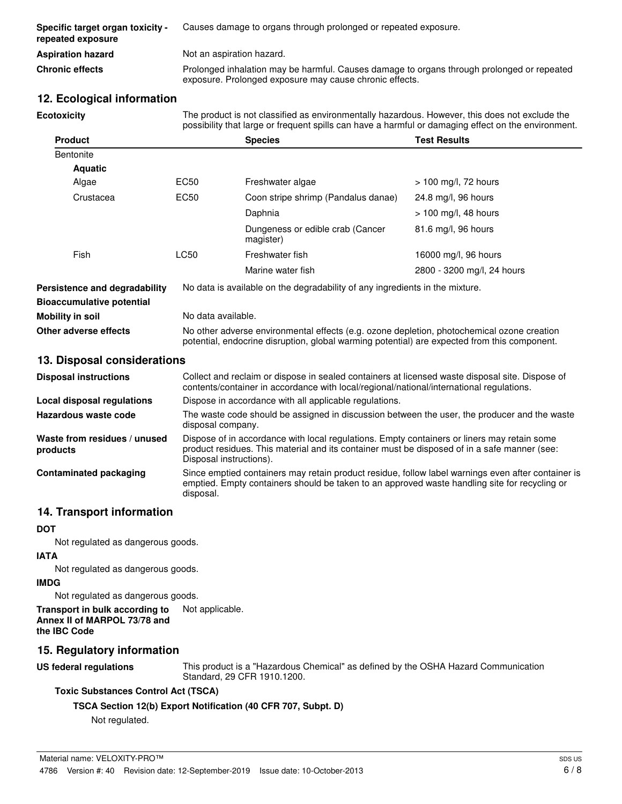| Specific target organ toxicity -<br>repeated exposure | Causes damage to organs through prolonged or repeated exposure.                                                                                       |
|-------------------------------------------------------|-------------------------------------------------------------------------------------------------------------------------------------------------------|
| <b>Aspiration hazard</b>                              | Not an aspiration hazard.                                                                                                                             |
| <b>Chronic effects</b>                                | Prolonged inhalation may be harmful. Causes damage to organs through prolonged or repeated<br>exposure. Prolonged exposure may cause chronic effects. |

## **12. Ecological information**

The product is not classified as environmentally hazardous. However, this does not exclude the possibility that large or frequent spills can have a harmful or damaging effect on the environment. **Ecotoxicity Product Species Test Results Bentonite Aquatic** Algae **EC50** Freshwater algae > 100 mg/l, 72 hours Crustacea EC50 Coon stripe shrimp (Pandalus danae) 24.8 mg/l, 96 hours Daphnia  $> 100$  mg/l, 48 hours Dungeness or edible crab (Cancer 81.6 mg/l, 96 hours magister)

|                                  | Marine water fish                                                            | 2800 - 3200 mg/l, 24 hours |
|----------------------------------|------------------------------------------------------------------------------|----------------------------|
| Persistence and degradability    | No data is available on the degradability of any ingredients in the mixture. |                            |
| <b>Bioaccumulative potential</b> |                                                                              |                            |

Fish CC50 Freshwater fish 16000 mg/l, 96 hours

| Mobility in soil      | No data available.                                                                                                                                                                         |
|-----------------------|--------------------------------------------------------------------------------------------------------------------------------------------------------------------------------------------|
| Other adverse effects | No other adverse environmental effects (e.g. ozone depletion, photochemical ozone creation<br>potential, endocrine disruption, global warming potential) are expected from this component. |

## **13. Disposal considerations**

| <b>Disposal instructions</b>             | Collect and reclaim or dispose in sealed containers at licensed waste disposal site. Dispose of<br>contents/container in accordance with local/regional/national/international regulations.                            |
|------------------------------------------|------------------------------------------------------------------------------------------------------------------------------------------------------------------------------------------------------------------------|
| Local disposal regulations               | Dispose in accordance with all applicable regulations.                                                                                                                                                                 |
| Hazardous waste code                     | The waste code should be assigned in discussion between the user, the producer and the waste<br>disposal company.                                                                                                      |
| Waste from residues / unused<br>products | Dispose of in accordance with local regulations. Empty containers or liners may retain some<br>product residues. This material and its container must be disposed of in a safe manner (see:<br>Disposal instructions). |
| <b>Contaminated packaging</b>            | Since emptied containers may retain product residue, follow label warnings even after container is<br>emptied. Empty containers should be taken to an approved waste handling site for recycling or<br>disposal.       |

## **14. Transport information**

## **DOT**

Not regulated as dangerous goods.

#### **IATA**

Not regulated as dangerous goods.

## **IMDG**

Not regulated as dangerous goods.

**Transport in bulk according to** Not applicable. **Annex II of MARPOL 73/78 and the IBC Code**

## **15. Regulatory information**

**US federal regulations**

This product is a "Hazardous Chemical" as defined by the OSHA Hazard Communication Standard, 29 CFR 1910.1200.

## **Toxic Substances Control Act (TSCA)**

## **TSCA Section 12(b) Export Notification (40 CFR 707, Subpt. D)**

Not regulated.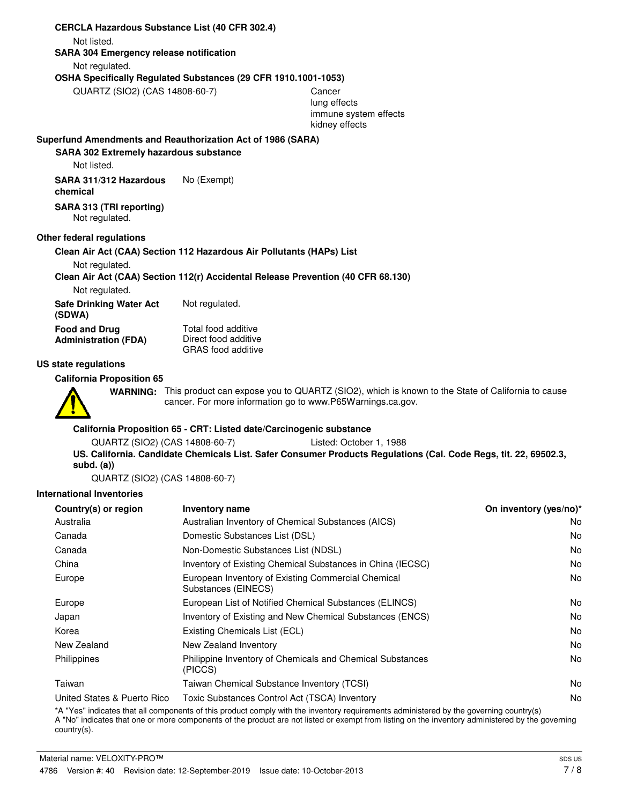#### **CERCLA Hazardous Substance List (40 CFR 302.4)**

Not listed.

#### **SARA 304 Emergency release notification**

Not regulated.

## **OSHA Specifically Regulated Substances (29 CFR 1910.1001-1053)**

QUARTZ (SIO2) (CAS 14808-60-7) Cancer

lung effects immune system effects kidney effects

## **Superfund Amendments and Reauthorization Act of 1986 (SARA)**

#### **SARA 302 Extremely hazardous substance**

Not listed.

**SARA 311/312 Hazardous** No (Exempt) **chemical**

## **SARA 313 (TRI reporting)**

Not regulated.

### **Other federal regulations**

### **Clean Air Act (CAA) Section 112 Hazardous Air Pollutants (HAPs) List**

Not regulated.

## **Clean Air Act (CAA) Section 112(r) Accidental Release Prevention (40 CFR 68.130)**

Not regulated.

**Safe Drinking Water Act** Not regulated. **(SDWA)**

**Food and Drug Administration (FDA)**

Total food additive Direct food additive GRAS food additive

#### **US state regulations**

**California Proposition 65**

WARNING: This product can expose you to QUARTZ (SIO2), which is known to the State of California to cause cancer. For more information go to www.P65Warnings.ca.gov.

#### **California Proposition 65 - CRT: Listed date/Carcinogenic substance**

QUARTZ (SIO2) (CAS 14808-60-7) Listed: October 1, 1988

**US. California. Candidate Chemicals List. Safer Consumer Products Regulations (Cal. Code Regs, tit. 22, 69502.3, subd. (a))**

QUARTZ (SIO2) (CAS 14808-60-7)

## **International Inventories**

| Country(s) or region        | <b>Inventory name</b>                                                     | On inventory (yes/no)* |
|-----------------------------|---------------------------------------------------------------------------|------------------------|
| Australia                   | Australian Inventory of Chemical Substances (AICS)                        | No.                    |
| Canada                      | Domestic Substances List (DSL)                                            | No.                    |
| Canada                      | Non-Domestic Substances List (NDSL)                                       | N <sub>0</sub>         |
| China                       | Inventory of Existing Chemical Substances in China (IECSC)                | No.                    |
| Europe                      | European Inventory of Existing Commercial Chemical<br>Substances (EINECS) | No.                    |
| Europe                      | European List of Notified Chemical Substances (ELINCS)                    | No.                    |
| Japan                       | Inventory of Existing and New Chemical Substances (ENCS)                  | N <sub>0</sub>         |
| Korea                       | Existing Chemicals List (ECL)                                             | No.                    |
| New Zealand                 | New Zealand Inventory                                                     | No.                    |
| Philippines                 | Philippine Inventory of Chemicals and Chemical Substances<br>(PICCS)      | No.                    |
| Taiwan                      | Taiwan Chemical Substance Inventory (TCSI)                                | No.                    |
| United States & Puerto Rico | Toxic Substances Control Act (TSCA) Inventory                             | No.                    |

\*A "Yes" indicates that all components of this product comply with the inventory requirements administered by the governing country(s)

A "No" indicates that one or more components of the product are not listed or exempt from listing on the inventory administered by the governing country(s).